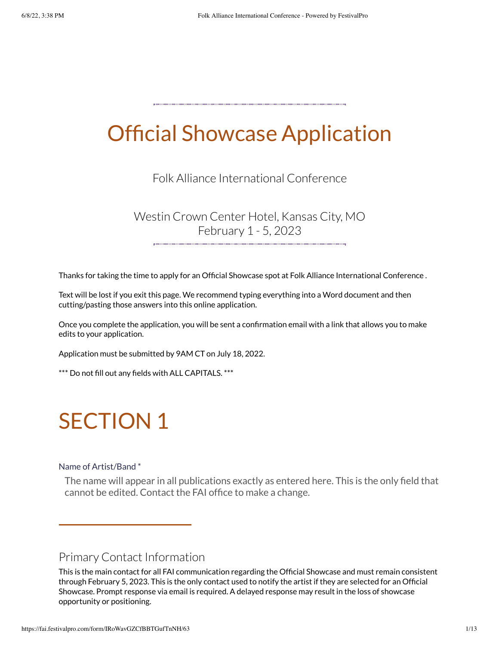## Official Showcase Application

Folk Alliance International Conference

Westin Crown Center Hotel, Kansas City, MO February 1 - 5, 2023

Thanks for taking the time to apply for an Official Showcase spot at Folk Alliance International Conference .

Text will be lost if you exit this page. We recommend typing everything into a Word document and then cutting/pasting those answers into this online application.

Once you complete the application, you will be sent a confirmation email with a link that allows you to make edits to your application.

Application must be submitted by 9AM CT on July 18, 2022.

\*\*\* Do not fill out any fields with ALL CAPITALS. \*\*\*

## SECTION 1

#### Name of Artist/Band \*

The name will appear in all publications exactly as entered here. This is the only field that cannot be edited. Contact the FAI office to make a change.

## Primary Contact Information

This is the main contact for all FAI communication regarding the Official Showcase and must remain consistent through February 5, 2023. This is the only contact used to notify the artist if they are selected for an Official Showcase. Prompt response via email is required. A delayed response may result in the loss of showcase opportunity or positioning.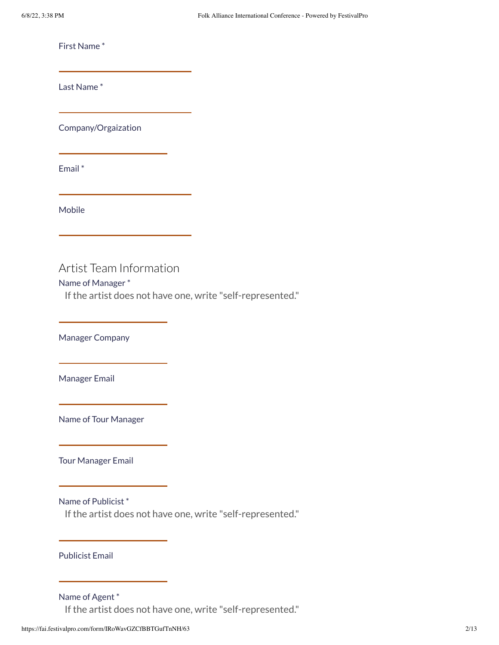First Name \*

Last Name \*

Company/Orgaization

Email \*

Mobile

## Artist Team Information

### Name of Manager \*

If the artist does not have one, write "self-represented."

Manager Company

Manager Email

Name of Tour Manager

Tour Manager Email

Name of Publicist \*

If the artist does not have one, write "self-represented."

Publicist Email

#### Name of Agent \*

If the artist does not have one, write "self-represented."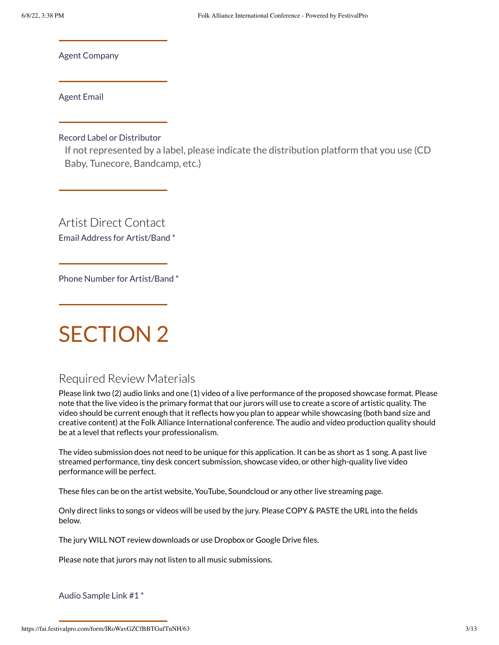Agent Company

Agent Email

Record Label or Distributor

If not represented by a label, please indicate the distribution platform that you use (CD Baby, Tunecore, Bandcamp, etc.)

Artist Direct Contact

Email Address for Artist/Band \*

Phone Number for Artist/Band \*

## SECTION 2

## Required Review Materials

Please link two (2) audio links and one (1) video of a live performance of the proposed showcase format. Please note that the live video is the primary format that our jurors will use to create a score of artistic quality. The video should be current enough that it reflects how you plan to appear while showcasing (both band size and creative content) at the Folk Alliance International conference. The audio and video production quality should be at a level that reflects your professionalism.

The video submission does not need to be unique for this application. It can be as short as 1 song. A past live streamed performance, tiny desk concert submission, showcase video, or other high-quality live video performance will be perfect.

These files can be on the artist website, YouTube, Soundcloud or any other live streaming page.

Only direct links to songs or videos will be used by the jury. Please COPY & PASTE the URL into the fields below.

The jury WILL NOT review downloads or use Dropbox or Google Drive files.

Please note that jurors may not listen to all music submissions.

Audio Sample Link #1 \*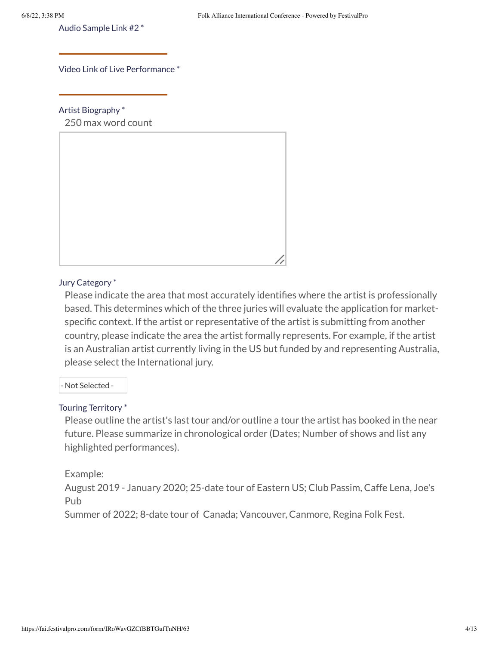Audio Sample Link #2 \*

Video Link of Live Performance \*

Artist Biography \*

250 max word count



## Jury Category \*

Please indicate the area that most accurately identifies where the artist is professionally based. This determines which of the three juries will evaluate the application for marketspecific context. If the artist or representative of the artist is submitting from another country, please indicate the area the artist formally represents. For example, if the artist is an Australian artist currently living in the US but funded by and representing Australia, please select the International jury.

- Not Selected -

### Touring Territory \*

Please outline the artist's last tour and/or outline a tour the artist has booked in the near future. Please summarize in chronological order (Dates; Number of shows and list any highlighted performances).

### Example:

August 2019 - January 2020; 25-date tour of Eastern US; Club Passim, Caffe Lena, Joe's Pub

Summer of 2022; 8-date tour of Canada; Vancouver, Canmore, Regina Folk Fest.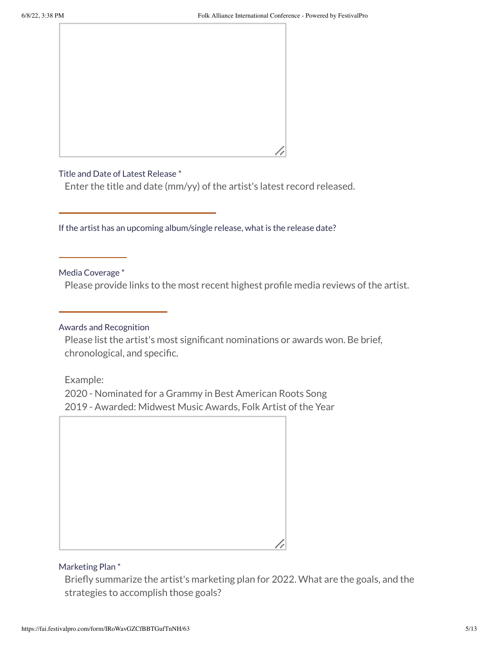

### Title and Date of Latest Release \*

Enter the title and date (mm/yy) of the artist's latest record released.

If the artist has an upcoming album/single release, what is the release date?

Media Coverage \*

Please provide links to the most recent highest profile media reviews of the artist.

### Awards and Recognition

Please list the artist's most significant nominations or awards won. Be brief, chronological, and specific.

Example:

2020 - Nominated for a Grammy in Best American Roots Song 2019 - Awarded: Midwest Music Awards, Folk Artist of the Year

## Marketing Plan \*

Briefly summarize the artist's marketing plan for 2022. What are the goals, and the strategies to accomplish those goals?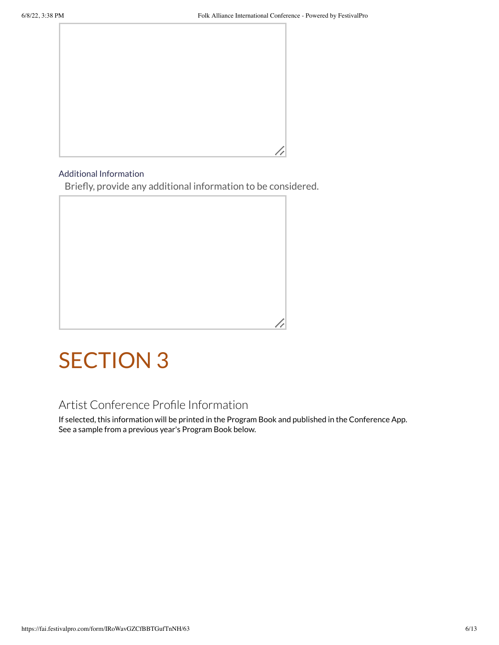

#### Additional Information

Briefly, provide any additional information to be considered.



## SECTION 3

## Artist Conference Profile Information

If selected, this information will be printed in the Program Book and published in the Conference App. See a sample from a previous year's Program Book below.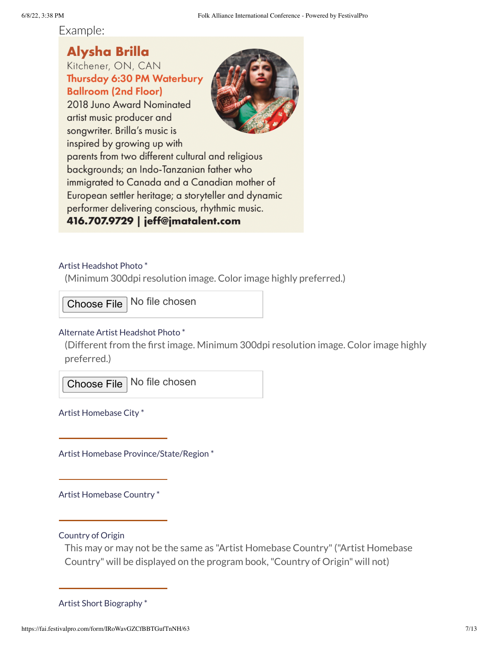Example:

## **Alysha Brilla**

Kitchener, ON, CAN Thursday 6:30 PM Waterbury **Ballroom (2nd Floor)** 2018 Juno Award Nominated artist music producer and songwriter. Brilla's music is inspired by growing up with parents from two different cultural and religious backgrounds; an Indo-Tanzanian father who immigrated to Canada and a Canadian mother of European settler heritage; a storyteller and dynamic performer delivering conscious, rhythmic music. 416.707.9729 | jeff@jmatalent.com

## Artist Headshot Photo \*

(Minimum 300dpi resolution image. Color image highly preferred.)

Choose File No file chosen

## Alternate Artist Headshot Photo \*

(Different from the first image. Minimum 300dpi resolution image. Color image highly preferred.)

Choose File No file chosen

Artist Homebase City \*

Artist Homebase Province/State/Region \*

Artist Homebase Country \*

Country of Origin

This may or may not be the same as "Artist Homebase Country"("Artist Homebase Country" will be displayed on the program book,"Country of Origin" will not)

Artist Short Biography \*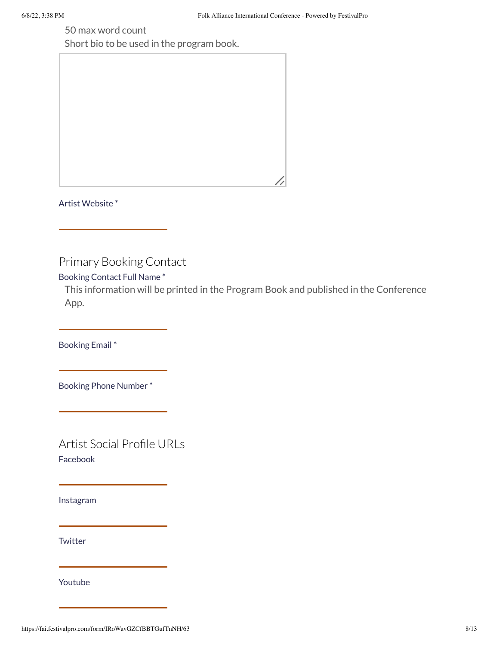50 max word count

Short bio to be used in the program book.



Artist Website \*

Primary Booking Contact

Booking Contact Full Name \*

This information will be printed in the Program Book and published in the Conference App.

Booking Email \*

Booking Phone Number \*

Artist Social Profile URLs Facebook

Instagram

**Twitter** 

Youtube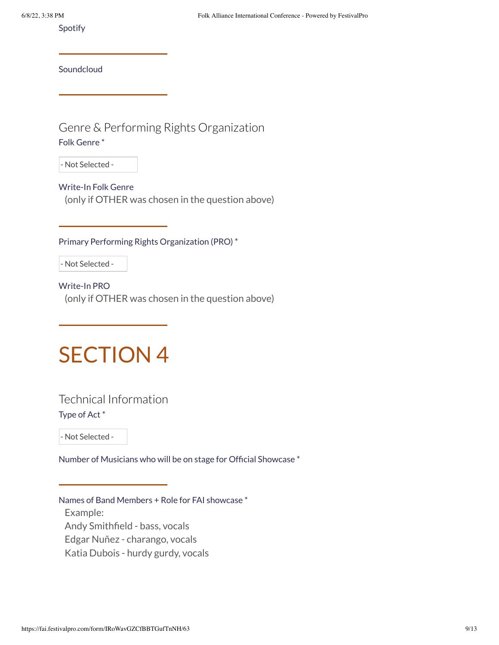Spotify

**Soundcloud** 

Genre & Performing Rights Organization Folk Genre \*

- Not Selected -

Write-In Folk Genre (only if OTHER was chosen in the question above)

Primary Performing Rights Organization (PRO) \*

- Not Selected -

Write-In PRO (only if OTHER was chosen in the question above)

## SECTION 4

Technical Information Type of Act \*

- Not Selected -

Number of Musicians who will be on stage for Official Showcase \*

Names of Band Members + Role for FAI showcase \*

Example: Andy Smithfield - bass, vocals Edgar Nuñez - charango, vocals Katia Dubois - hurdy gurdy, vocals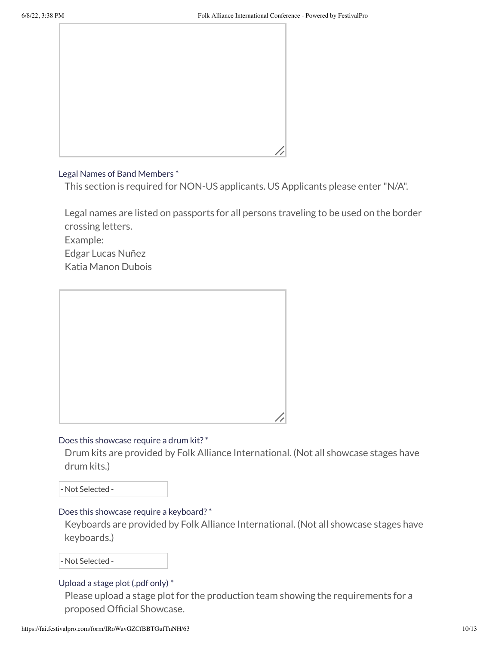

#### Legal Names of Band Members \*

This section is required for NON-US applicants. US Applicants please enter "N/A".

Legal names are listed on passports for all persons traveling to be used on the border crossing letters.

Example:

Edgar Lucas Nuñez

Katia Manon Dubois



### Does this showcase require a drum kit? \*

Drum kits are provided by Folk Alliance International. (Not all showcase stages have drum kits.)

- Not Selected -

### Does this showcase require a keyboard? \*

Keyboards are provided by Folk Alliance International. (Not all showcase stages have keyboards.)

- Not Selected -

### Upload a stage plot (.pdf only) \*

Please upload a stage plot for the production team showing the requirements for a proposed Official Showcase.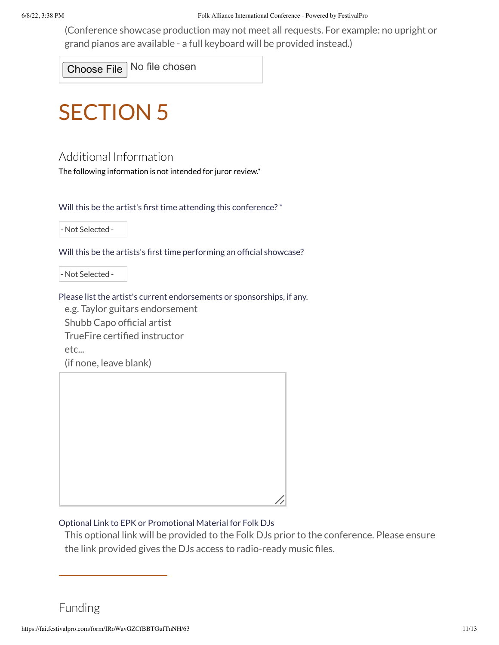(Conference showcase production may not meet all requests. For example: no upright or grand pianos are available - a full keyboard will be provided instead.)

Choose File No file chosen

# SECTION 5

## Additional Information

The following information is not intended for juror review.\*

Will this be the artist's first time attending this conference? \*

- Not Selected -

Will this be the artists's first time performing an official showcase?

- Not Selected -

Please list the artist's current endorsements or sponsorships, if any.

e.g. Taylor guitars endorsement Shubb Capo official artist TrueFire certified instructor

etc...

(if none, leave blank)



## Optional Link to EPK or Promotional Material for Folk DJs

This optional link will be provided to the Folk DJs prior to the conference. Please ensure the link provided gives the DJs access to radio-ready music files.

Funding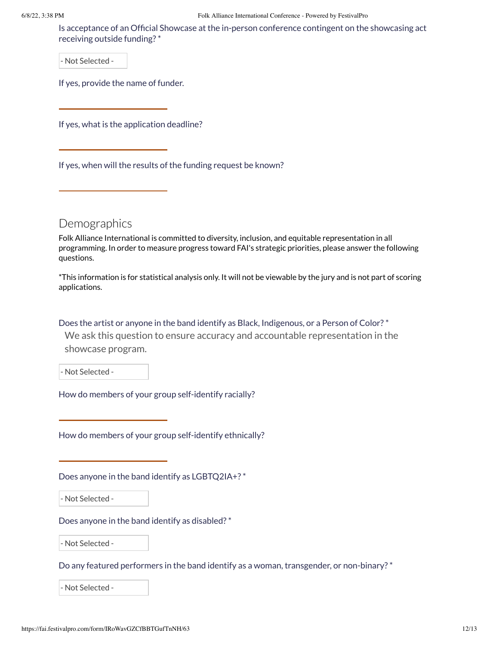#### 6/8/22, 3:38 PM Folk Alliance International Conference - Powered by FestivalPro

Is acceptance of an Official Showcase at the in-person conference contingent on the showcasing act receiving outside funding? \*

- Not Selected -

If yes, provide the name of funder.

If yes, what is the application deadline?

If yes, when will the results of the funding request be known?

**Demographics** 

Folk Alliance International is committed to diversity, inclusion, and equitable representation in all programming. In order to measure progress toward FAI's strategic priorities, please answer the following questions.

\*This information is for statistical analysis only. It will not be viewable by the jury and is not part of scoring applications.

Does the artist or anyone in the band identify as Black, Indigenous, or a Person of Color? \*

We ask this question to ensure accuracy and accountable representation in the showcase program.

- Not Selected -

How do members of your group self-identify racially?

How do members of your group self-identify ethnically?

Does anyone in the band identify as LGBTQ2IA+? \*

- Not Selected -

Does anyone in the band identify as disabled? \*

- Not Selected -

Do any featured performers in the band identify as a woman, transgender, or non-binary? \*

- Not Selected -